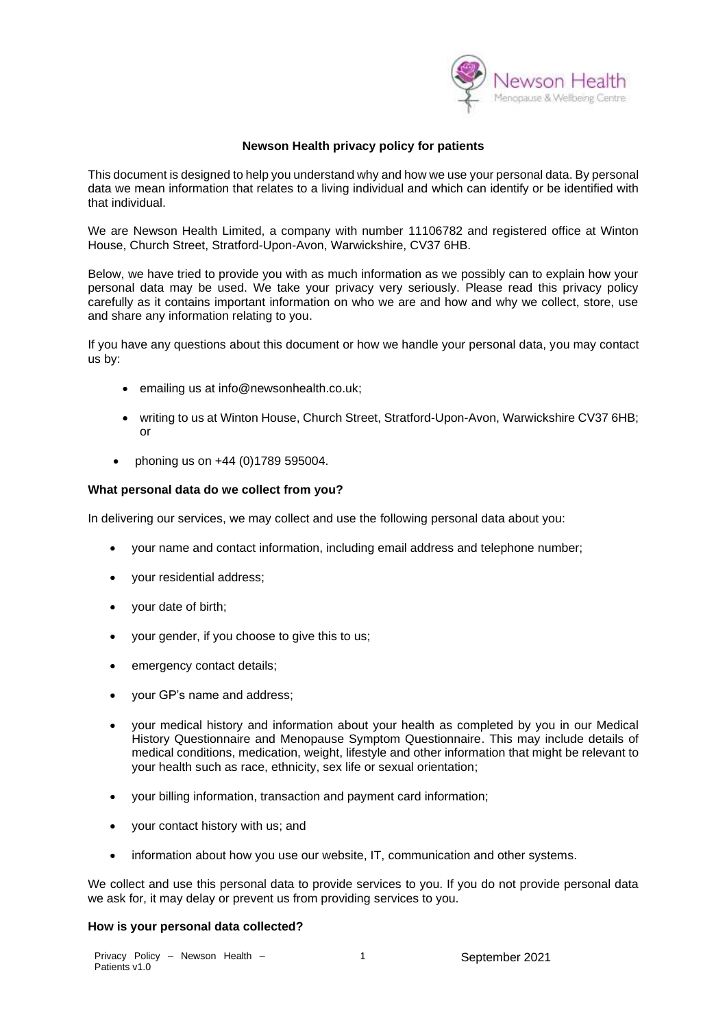

# **Newson Health privacy policy for patients**

This document is designed to help you understand why and how we use your personal data. By personal data we mean information that relates to a living individual and which can identify or be identified with that individual.

We are Newson Health Limited, a company with number 11106782 and registered office at Winton House, Church Street, Stratford-Upon-Avon, Warwickshire, CV37 6HB.

Below, we have tried to provide you with as much information as we possibly can to explain how your personal data may be used. We take your privacy very seriously. Please read this privacy policy carefully as it contains important information on who we are and how and why we collect, store, use and share any information relating to you.

If you have any questions about this document or how we handle your personal data, you may contact us by:

- emailing us at info@newsonhealth.co.uk;
- writing to us at Winton House, Church Street, Stratford-Upon-Avon, Warwickshire CV37 6HB; or
- phoning us on +44 (0)1789 595004.

#### **What personal data do we collect from you?**

In delivering our services, we may collect and use the following personal data about you:

- your name and contact information, including email address and telephone number;
- your residential address;
- your date of birth;
- your gender, if you choose to give this to us;
- emergency contact details;
- your GP's name and address;
- your medical history and information about your health as completed by you in our Medical History Questionnaire and Menopause Symptom Questionnaire. This may include details of medical conditions, medication, weight, lifestyle and other information that might be relevant to your health such as race, ethnicity, sex life or sexual orientation;
- your billing information, transaction and payment card information;
- your contact history with us; and
- information about how you use our website, IT, communication and other systems.

We collect and use this personal data to provide services to you. If you do not provide personal data we ask for, it may delay or prevent us from providing services to you.

#### **How is your personal data collected?**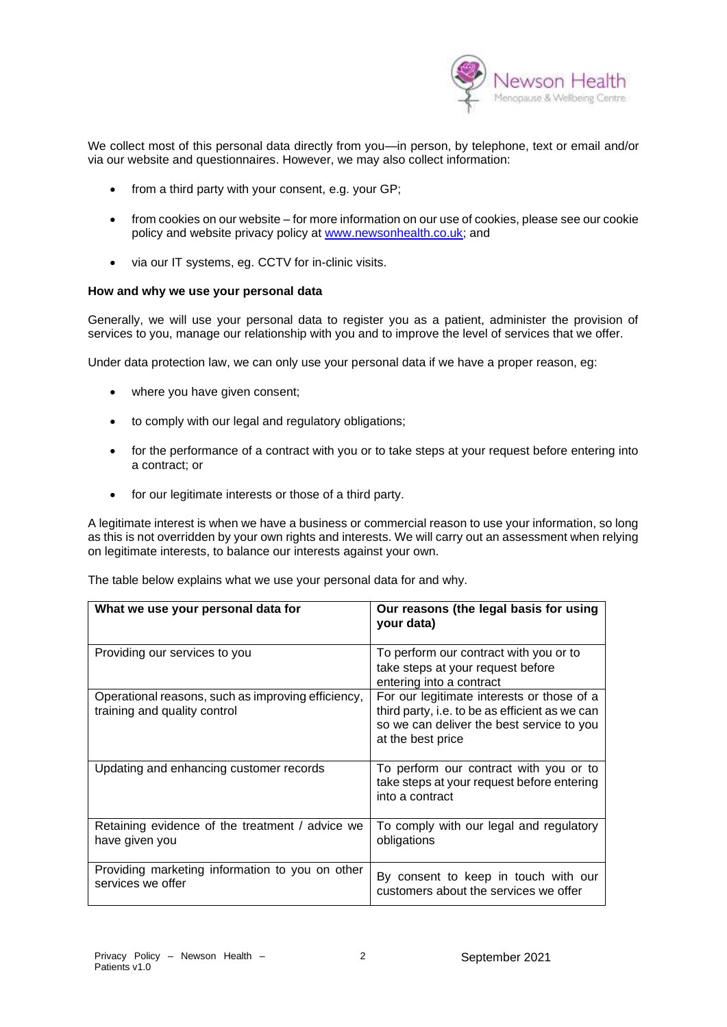

We collect most of this personal data directly from you—in person, by telephone, text or email and/or via our website and questionnaires. However, we may also collect information:

- from a third party with your consent, e.g. your GP;
- from cookies on our website for more information on our use of cookies, please see our cookie policy and website privacy policy at [www.newsonhealth.co.uk;](http://www.newsonhealth.co.uk/) and
- via our IT systems, eg. CCTV for in-clinic visits.

#### **How and why we use your personal data**

Generally, we will use your personal data to register you as a patient, administer the provision of services to you, manage our relationship with you and to improve the level of services that we offer.

Under data protection law, we can only use your personal data if we have a proper reason, eg:

- where you have given consent;
- to comply with our legal and regulatory obligations;
- for the performance of a contract with you or to take steps at your request before entering into a contract; or
- for our legitimate interests or those of a third party.

A legitimate interest is when we have a business or commercial reason to use your information, so long as this is not overridden by your own rights and interests. We will carry out an assessment when relying on legitimate interests, to balance our interests against your own.

The table below explains what we use your personal data for and why.

| What we use your personal data for                                                 | Our reasons (the legal basis for using<br>your data)                                                                                                           |
|------------------------------------------------------------------------------------|----------------------------------------------------------------------------------------------------------------------------------------------------------------|
| Providing our services to you                                                      | To perform our contract with you or to<br>take steps at your request before<br>entering into a contract                                                        |
| Operational reasons, such as improving efficiency,<br>training and quality control | For our legitimate interests or those of a<br>third party, i.e. to be as efficient as we can<br>so we can deliver the best service to you<br>at the best price |
| Updating and enhancing customer records                                            | To perform our contract with you or to<br>take steps at your request before entering<br>into a contract                                                        |
| Retaining evidence of the treatment / advice we<br>have given you                  | To comply with our legal and regulatory<br>obligations                                                                                                         |
| Providing marketing information to you on other<br>services we offer               | By consent to keep in touch with our<br>customers about the services we offer                                                                                  |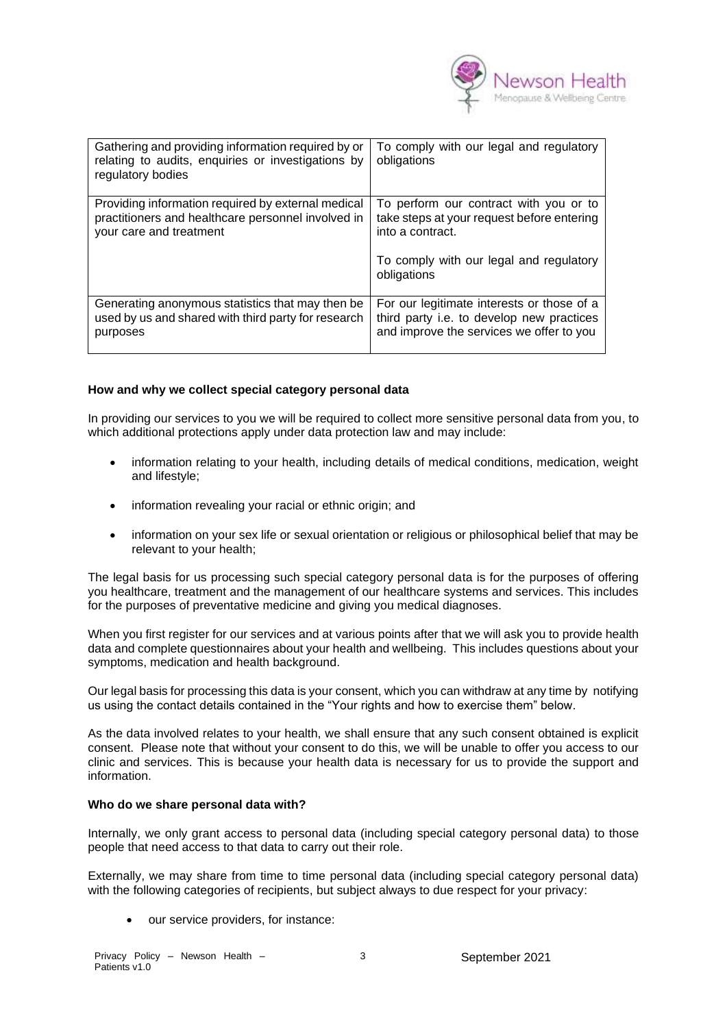

| Gathering and providing information required by or<br>relating to audits, enquiries or investigations by<br>regulatory bodies       | To comply with our legal and regulatory<br>obligations                                                                                                             |
|-------------------------------------------------------------------------------------------------------------------------------------|--------------------------------------------------------------------------------------------------------------------------------------------------------------------|
| Providing information required by external medical<br>practitioners and healthcare personnel involved in<br>your care and treatment | To perform our contract with you or to<br>take steps at your request before entering<br>into a contract.<br>To comply with our legal and regulatory<br>obligations |
| Generating anonymous statistics that may then be.<br>used by us and shared with third party for research<br>purposes                | For our legitimate interests or those of a<br>third party i.e. to develop new practices<br>and improve the services we offer to you                                |

# **How and why we collect special category personal data**

In providing our services to you we will be required to collect more sensitive personal data from you, to which additional protections apply under data protection law and may include:

- information relating to your health, including details of medical conditions, medication, weight and lifestyle;
- information revealing your racial or ethnic origin; and
- information on your sex life or sexual orientation or religious or philosophical belief that may be relevant to your health;

The legal basis for us processing such special category personal data is for the purposes of offering you healthcare, treatment and the management of our healthcare systems and services. This includes for the purposes of preventative medicine and giving you medical diagnoses.

When you first register for our services and at various points after that we will ask you to provide health data and complete questionnaires about your health and wellbeing. This includes questions about your symptoms, medication and health background.

Our legal basis for processing this data is your consent, which you can withdraw at any time by notifying us using the contact details contained in the "Your rights and how to exercise them" below.

As the data involved relates to your health, we shall ensure that any such consent obtained is explicit consent. Please note that without your consent to do this, we will be unable to offer you access to our clinic and services. This is because your health data is necessary for us to provide the support and information.

#### **Who do we share personal data with?**

Internally, we only grant access to personal data (including special category personal data) to those people that need access to that data to carry out their role.

Externally, we may share from time to time personal data (including special category personal data) with the following categories of recipients, but subject always to due respect for your privacy:

• our service providers, for instance: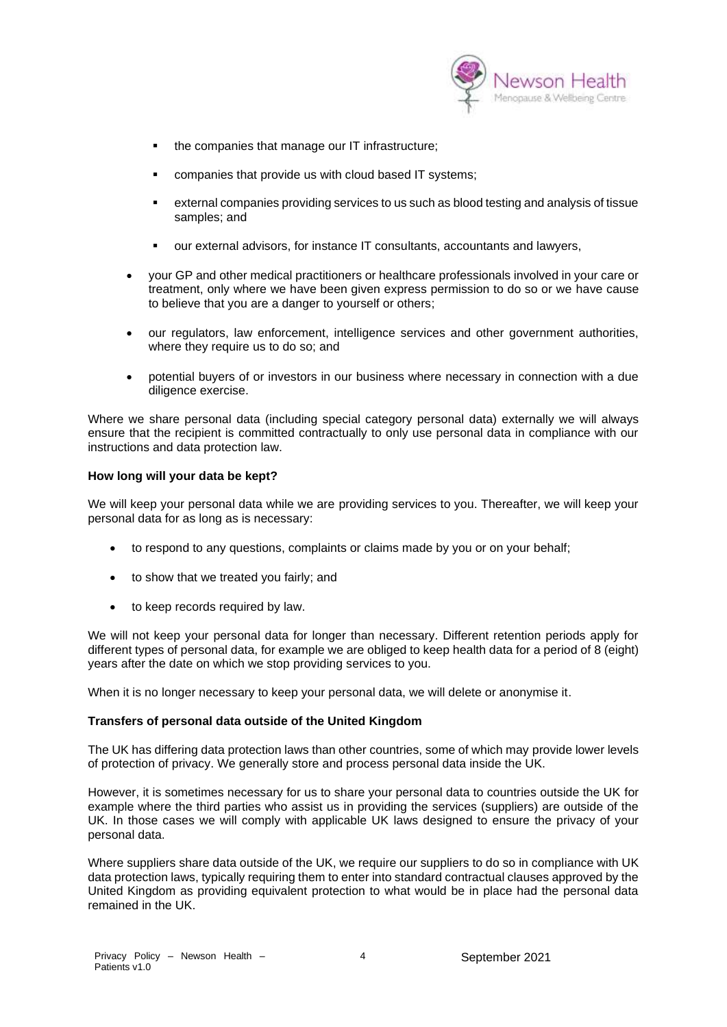

- the companies that manage our IT infrastructure;
- companies that provide us with cloud based IT systems:
- external companies providing services to us such as blood testing and analysis of tissue samples; and
- our external advisors, for instance IT consultants, accountants and lawyers,
- your GP and other medical practitioners or healthcare professionals involved in your care or treatment, only where we have been given express permission to do so or we have cause to believe that you are a danger to yourself or others;
- our regulators, law enforcement, intelligence services and other government authorities, where they require us to do so; and
- potential buyers of or investors in our business where necessary in connection with a due diligence exercise.

Where we share personal data (including special category personal data) externally we will always ensure that the recipient is committed contractually to only use personal data in compliance with our instructions and data protection law.

#### **How long will your data be kept?**

We will keep your personal data while we are providing services to you. Thereafter, we will keep your personal data for as long as is necessary:

- to respond to any questions, complaints or claims made by you or on your behalf;
- to show that we treated you fairly; and
- to keep records required by law.

We will not keep your personal data for longer than necessary. Different retention periods apply for different types of personal data, for example we are obliged to keep health data for a period of 8 (eight) years after the date on which we stop providing services to you.

When it is no longer necessary to keep your personal data, we will delete or anonymise it.

# **Transfers of personal data outside of the United Kingdom**

The UK has differing data protection laws than other countries, some of which may provide lower levels of protection of privacy. We generally store and process personal data inside the UK.

However, it is sometimes necessary for us to share your personal data to countries outside the UK for example where the third parties who assist us in providing the services (suppliers) are outside of the UK. In those cases we will comply with applicable UK laws designed to ensure the privacy of your personal data.

Where suppliers share data outside of the UK, we require our suppliers to do so in compliance with UK data protection laws, typically requiring them to enter into standard contractual clauses approved by the United Kingdom as providing equivalent protection to what would be in place had the personal data remained in the UK.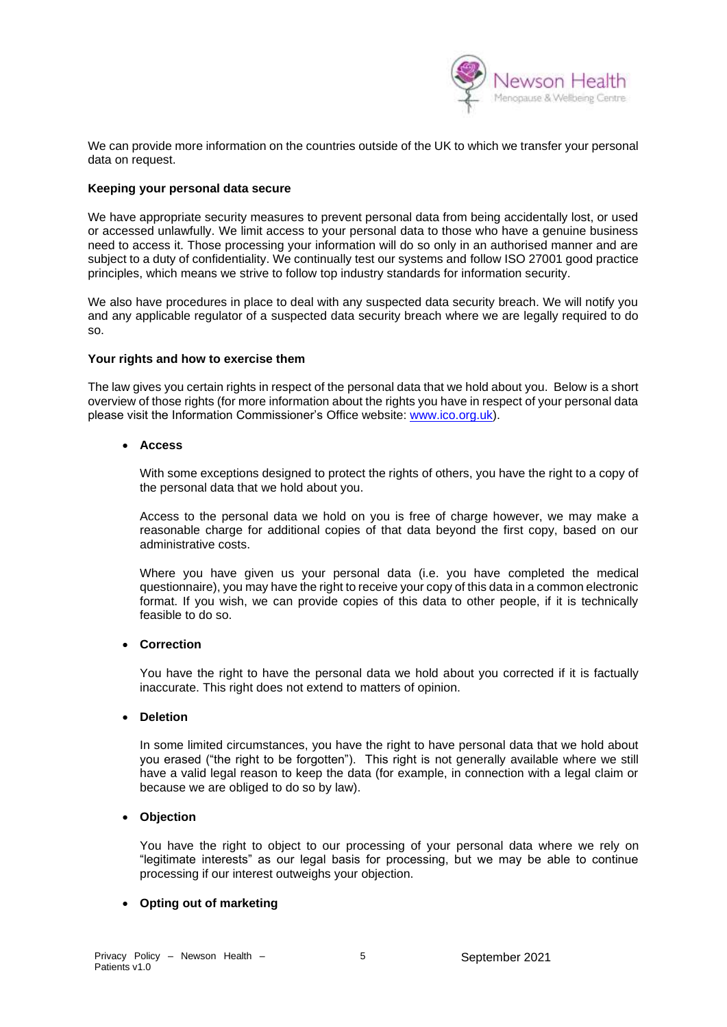

We can provide more information on the countries outside of the UK to which we transfer your personal data on request.

### **Keeping your personal data secure**

We have appropriate security measures to prevent personal data from being accidentally lost, or used or accessed unlawfully. We limit access to your personal data to those who have a genuine business need to access it. Those processing your information will do so only in an authorised manner and are subject to a duty of confidentiality. We continually test our systems and follow ISO 27001 good practice principles, which means we strive to follow top industry standards for information security.

We also have procedures in place to deal with any suspected data security breach. We will notify you and any applicable regulator of a suspected data security breach where we are legally required to do so.

#### **Your rights and how to exercise them**

The law gives you certain rights in respect of the personal data that we hold about you. Below is a short overview of those rights (for more information about the rights you have in respect of your personal data please visit the Information Commissioner's Office website: [www.ico.org.uk\)](http://www.ico.org.uk/).

#### • **Access**

With some exceptions designed to protect the rights of others, you have the right to a copy of the personal data that we hold about you.

Access to the personal data we hold on you is free of charge however, we may make a reasonable charge for additional copies of that data beyond the first copy, based on our administrative costs.

Where you have given us your personal data (i.e. you have completed the medical questionnaire), you may have the right to receive your copy of this data in a common electronic format. If you wish, we can provide copies of this data to other people, if it is technically feasible to do so.

#### • **Correction**

You have the right to have the personal data we hold about you corrected if it is factually inaccurate. This right does not extend to matters of opinion.

#### • **Deletion**

In some limited circumstances, you have the right to have personal data that we hold about you erased ("the right to be forgotten"). This right is not generally available where we still have a valid legal reason to keep the data (for example, in connection with a legal claim or because we are obliged to do so by law).

#### • **Objection**

You have the right to object to our processing of your personal data where we rely on "legitimate interests" as our legal basis for processing, but we may be able to continue processing if our interest outweighs your objection.

# • **Opting out of marketing**